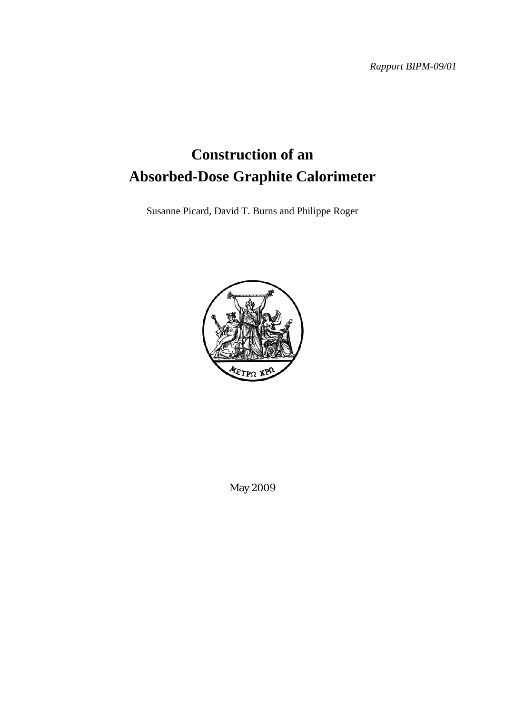*Rapport BIPM-09/01* 

# **Construction of an Absorbed-Dose Graphite Calorimeter**

Susanne Picard, David T. Burns and Philippe Roger



May 2009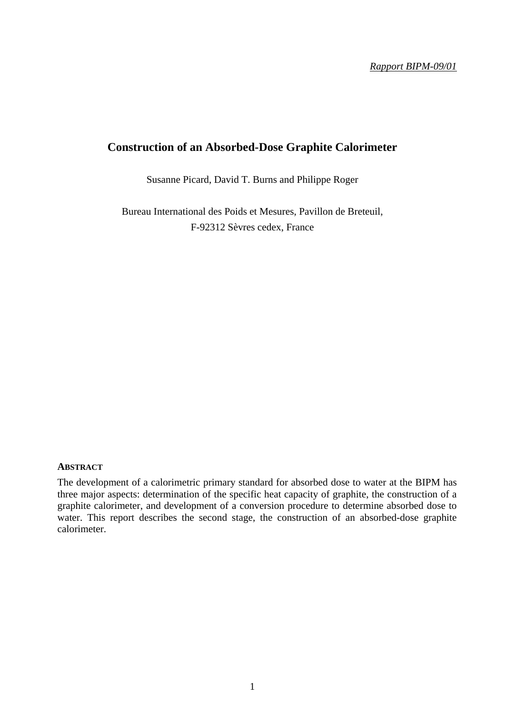## **Construction of an Absorbed-Dose Graphite Calorimeter**

Susanne Picard, David T. Burns and Philippe Roger

Bureau International des Poids et Mesures, Pavillon de Breteuil, F-92312 Sèvres cedex, France

#### **ABSTRACT**

The development of a calorimetric primary standard for absorbed dose to water at the BIPM has three major aspects: determination of the specific heat capacity of graphite, the construction of a graphite calorimeter, and development of a conversion procedure to determine absorbed dose to water. This report describes the second stage, the construction of an absorbed-dose graphite calorimeter.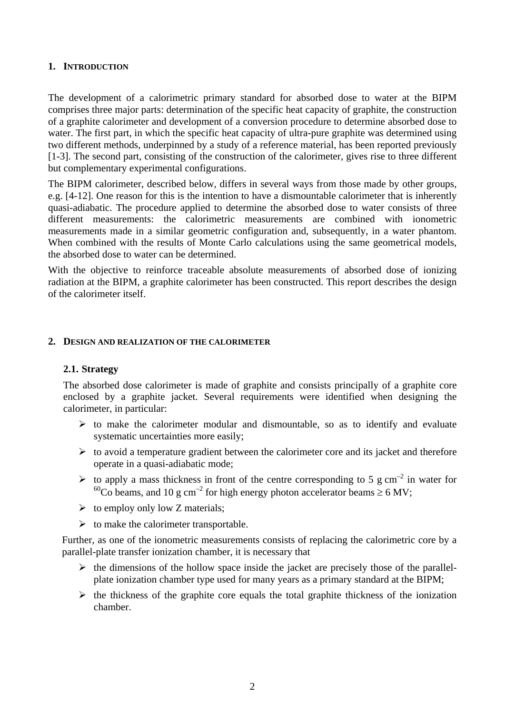## **1. INTRODUCTION**

The development of a calorimetric primary standard for absorbed dose to water at the BIPM comprises three major parts: determination of the specific heat capacity of graphite, the construction of a graphite calorimeter and development of a conversion procedure to determine absorbed dose to water. The first part, in which the specific heat capacity of ultra-pure graphite was determined using two different methods, underpinned by a study of a reference material, has been reported previously [1-3]. The second part, consisting of the construction of the calorimeter, gives rise to three different but complementary experimental configurations.

The BIPM calorimeter, described below, differs in several ways from those made by other groups, e.g. [4-12]. One reason for this is the intention to have a dismountable calorimeter that is inherently quasi-adiabatic. The procedure applied to determine the absorbed dose to water consists of three different measurements: the calorimetric measurements are combined with ionometric measurements made in a similar geometric configuration and, subsequently, in a water phantom. When combined with the results of Monte Carlo calculations using the same geometrical models, the absorbed dose to water can be determined.

With the objective to reinforce traceable absolute measurements of absorbed dose of ionizing radiation at the BIPM, a graphite calorimeter has been constructed. This report describes the design of the calorimeter itself.

#### **2. DESIGN AND REALIZATION OF THE CALORIMETER**

## **2.1. Strategy**

The absorbed dose calorimeter is made of graphite and consists principally of a graphite core enclosed by a graphite jacket. Several requirements were identified when designing the calorimeter, in particular:

- $\triangleright$  to make the calorimeter modular and dismountable, so as to identify and evaluate systematic uncertainties more easily;
- $\triangleright$  to avoid a temperature gradient between the calorimeter core and its jacket and therefore operate in a quasi-adiabatic mode;
- $\triangleright$  to apply a mass thickness in front of the centre corresponding to 5 g cm<sup>-2</sup> in water for <sup>60</sup>Co beams, and 10 g cm<sup>-2</sup> for high energy photon accelerator beams  $\geq 6$  MV;
- $\triangleright$  to employ only low Z materials;
- $\triangleright$  to make the calorimeter transportable.

Further, as one of the ionometric measurements consists of replacing the calorimetric core by a parallel-plate transfer ionization chamber, it is necessary that

- $\triangleright$  the dimensions of the hollow space inside the jacket are precisely those of the parallelplate ionization chamber type used for many years as a primary standard at the BIPM;
- $\triangleright$  the thickness of the graphite core equals the total graphite thickness of the ionization chamber.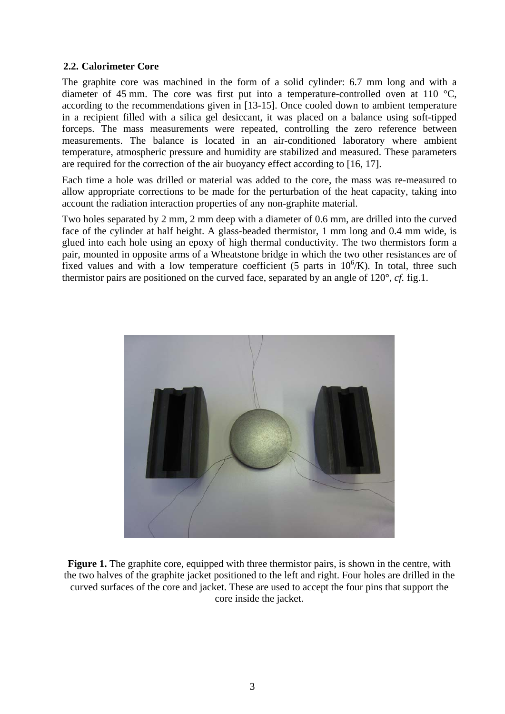## **2.2. Calorimeter Core**

The graphite core was machined in the form of a solid cylinder: 6.7 mm long and with a diameter of 45 mm. The core was first put into a temperature-controlled oven at 110 °C, according to the recommendations given in [13-15]. Once cooled down to ambient temperature in a recipient filled with a silica gel desiccant, it was placed on a balance using soft-tipped forceps. The mass measurements were repeated, controlling the zero reference between measurements. The balance is located in an air-conditioned laboratory where ambient temperature, atmospheric pressure and humidity are stabilized and measured. These parameters are required for the correction of the air buoyancy effect according to [16, 17].

Each time a hole was drilled or material was added to the core, the mass was re-measured to allow appropriate corrections to be made for the perturbation of the heat capacity, taking into account the radiation interaction properties of any non-graphite material.

Two holes separated by 2 mm, 2 mm deep with a diameter of 0.6 mm, are drilled into the curved face of the cylinder at half height. A glass-beaded thermistor, 1 mm long and 0.4 mm wide, is glued into each hole using an epoxy of high thermal conductivity. The two thermistors form a pair, mounted in opposite arms of a Wheatstone bridge in which the two other resistances are of fixed values and with a low temperature coefficient (5 parts in  $10^6$ /K). In total, three such thermistor pairs are positioned on the curved face, separated by an angle of 120°, *cf.* fig.1.



**Figure 1.** The graphite core, equipped with three thermistor pairs, is shown in the centre, with the two halves of the graphite jacket positioned to the left and right. Four holes are drilled in the curved surfaces of the core and jacket. These are used to accept the four pins that support the core inside the jacket.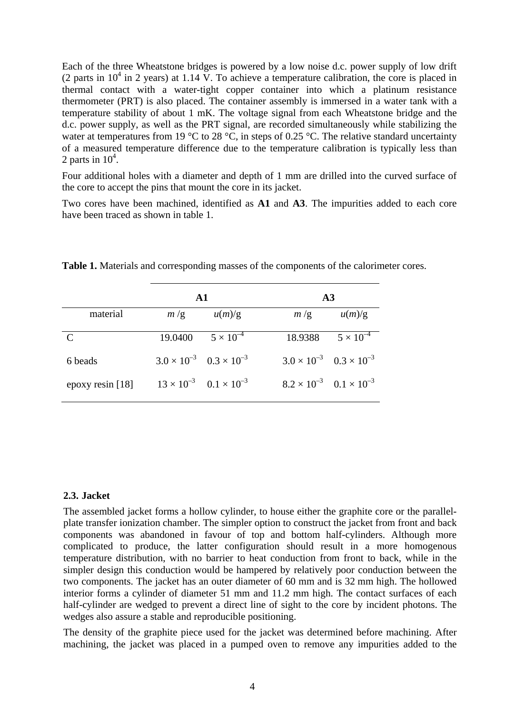Each of the three Wheatstone bridges is powered by a low noise d.c. power supply of low drift (2 parts in  $10^4$  in 2 years) at 1.14 V. To achieve a temperature calibration, the core is placed in thermal contact with a water-tight copper container into which a platinum resistance thermometer (PRT) is also placed. The container assembly is immersed in a water tank with a temperature stability of about 1 mK. The voltage signal from each Wheatstone bridge and the d.c. power supply, as well as the PRT signal, are recorded simultaneously while stabilizing the water at temperatures from 19 °C to 28 °C, in steps of 0.25 °C. The relative standard uncertainty of a measured temperature difference due to the temperature calibration is typically less than 2 parts in  $10^4$ .

Four additional holes with a diameter and depth of 1 mm are drilled into the curved surface of the core to accept the pins that mount the core in its jacket.

Two cores have been machined, identified as **A1** and **A3**. The impurities added to each core have been traced as shown in table 1.

|                             |         | A1                                        |                                           | $\bf{A3}$          |  |
|-----------------------------|---------|-------------------------------------------|-------------------------------------------|--------------------|--|
| material                    | m/g     | u(m)/g                                    | m/g                                       | u(m)/g             |  |
| $\mathcal{C}_{\mathcal{C}}$ | 19.0400 | $5 \times 10^{-4}$                        | 18.9388                                   | $5 \times 10^{-4}$ |  |
| 6 beads                     |         | $3.0 \times 10^{-3}$ $0.3 \times 10^{-3}$ | $3.0 \times 10^{-3}$ $0.3 \times 10^{-3}$ |                    |  |
| epoxy resin [18]            |         | $13 \times 10^{-3}$ $0.1 \times 10^{-3}$  | $8.2 \times 10^{-3}$ $0.1 \times 10^{-3}$ |                    |  |

**Table 1.** Materials and corresponding masses of the components of the calorimeter cores.

## **2.3. Jacket**

The assembled jacket forms a hollow cylinder, to house either the graphite core or the parallelplate transfer ionization chamber. The simpler option to construct the jacket from front and back components was abandoned in favour of top and bottom half-cylinders. Although more complicated to produce, the latter configuration should result in a more homogenous temperature distribution, with no barrier to heat conduction from front to back, while in the simpler design this conduction would be hampered by relatively poor conduction between the two components. The jacket has an outer diameter of 60 mm and is 32 mm high. The hollowed interior forms a cylinder of diameter 51 mm and 11.2 mm high. The contact surfaces of each half-cylinder are wedged to prevent a direct line of sight to the core by incident photons. The wedges also assure a stable and reproducible positioning.

The density of the graphite piece used for the jacket was determined before machining. After machining, the jacket was placed in a pumped oven to remove any impurities added to the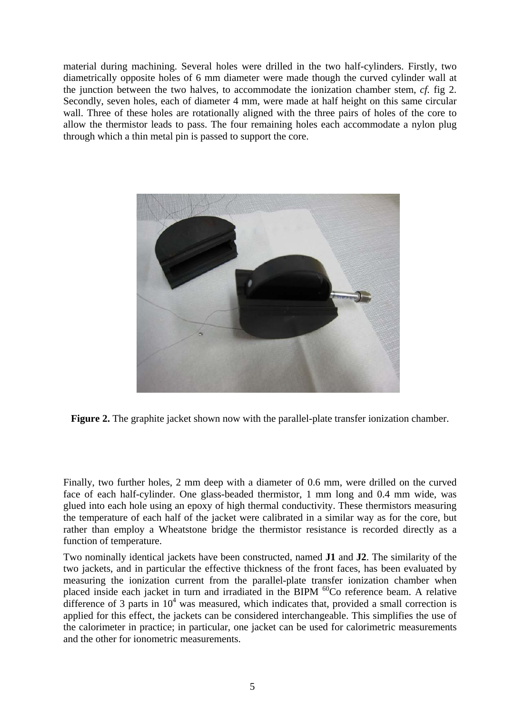material during machining. Several holes were drilled in the two half-cylinders. Firstly, two diametrically opposite holes of 6 mm diameter were made though the curved cylinder wall at the junction between the two halves, to accommodate the ionization chamber stem, *cf.* fig 2. Secondly, seven holes, each of diameter 4 mm, were made at half height on this same circular wall. Three of these holes are rotationally aligned with the three pairs of holes of the core to allow the thermistor leads to pass. The four remaining holes each accommodate a nylon plug through which a thin metal pin is passed to support the core.



**Figure 2.** The graphite jacket shown now with the parallel-plate transfer ionization chamber.

Finally, two further holes, 2 mm deep with a diameter of 0.6 mm, were drilled on the curved face of each half-cylinder. One glass-beaded thermistor, 1 mm long and 0.4 mm wide, was glued into each hole using an epoxy of high thermal conductivity. These thermistors measuring the temperature of each half of the jacket were calibrated in a similar way as for the core, but rather than employ a Wheatstone bridge the thermistor resistance is recorded directly as a function of temperature.

Two nominally identical jackets have been constructed, named **J1** and **J2**. The similarity of the two jackets, and in particular the effective thickness of the front faces, has been evaluated by measuring the ionization current from the parallel-plate transfer ionization chamber when placed inside each jacket in turn and irradiated in the BIPM  ${}^{60}$ Co reference beam. A relative difference of 3 parts in  $10<sup>4</sup>$  was measured, which indicates that, provided a small correction is applied for this effect, the jackets can be considered interchangeable. This simplifies the use of the calorimeter in practice; in particular, one jacket can be used for calorimetric measurements and the other for ionometric measurements.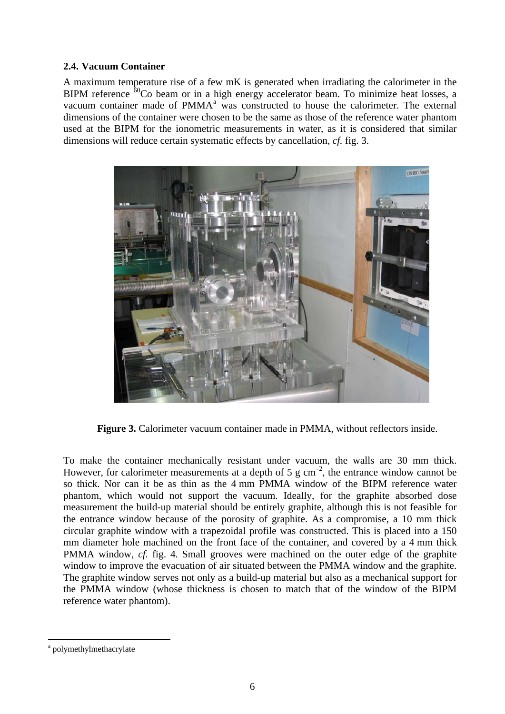## **2.4. Vacuum Container**

A maximum temperature rise of a few mK is generated when irradiating the calorimeter in the BIPM reference  $\delta^0$ Co beam or in a high energy accelerator beam. To minimize heat losses, a v[a](#page-6-0)cuum container made of  $PMMA<sup>a</sup>$  was constructed to house the calorimeter. The external dimensions of the container were chosen to be the same as those of the reference water phantom used at the BIPM for the ionometric measurements in water, as it is considered that similar dimensions will reduce certain systematic effects by cancellation, *cf.* fig. 3.



Figure 3. Calorimeter vacuum container made in PMMA, without reflectors inside.

To make the container mechanically resistant under vacuum, the walls are 30 mm thick. However, for calorimeter measurements at a depth of 5 g  $cm^{-2}$ , the entrance window cannot be so thick. Nor can it be as thin as the 4 mm PMMA window of the BIPM reference water phantom, which would not support the vacuum. Ideally, for the graphite absorbed dose measurement the build-up material should be entirely graphite, although this is not feasible for the entrance window because of the porosity of graphite. As a compromise, a 10 mm thick circular graphite window with a trapezoidal profile was constructed. This is placed into a 150 mm diameter hole machined on the front face of the container, and covered by a 4 mm thick PMMA window, *cf.* fig. 4. Small grooves were machined on the outer edge of the graphite window to improve the evacuation of air situated between the PMMA window and the graphite. The graphite window serves not only as a build-up material but also as a mechanical support for the PMMA window (whose thickness is chosen to match that of the window of the BIPM reference water phantom).

 $\overline{a}$ 

<span id="page-6-0"></span><sup>&</sup>lt;sup>a</sup> polymethylmethacrylate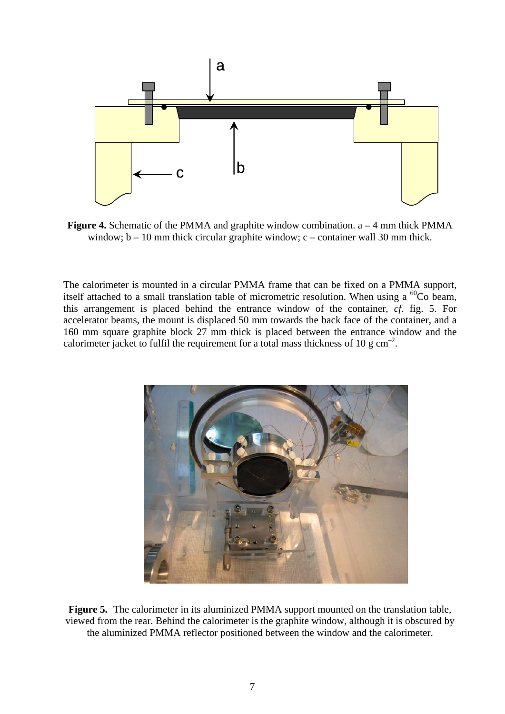

**Figure 4.** Schematic of the PMMA and graphite window combination. a – 4 mm thick PMMA window;  $b - 10$  mm thick circular graphite window;  $c -$  container wall 30 mm thick.

The calorimeter is mounted in a circular PMMA frame that can be fixed on a PMMA support, itself attached to a small translation table of micrometric resolution. When using a  ${}^{60}$ Co beam, this arrangement is placed behind the entrance window of the container, *cf.* fig. 5. For accelerator beams, the mount is displaced 50 mm towards the back face of the container, and a 160 mm square graphite block 27 mm thick is placed between the entrance window and the calorimeter jacket to fulfil the requirement for a total mass thickness of 10 g  $cm^{-2}$ .



**Figure 5.** The calorimeter in its aluminized PMMA support mounted on the translation table, viewed from the rear. Behind the calorimeter is the graphite window, although it is obscured by the aluminized PMMA reflector positioned between the window and the calorimeter.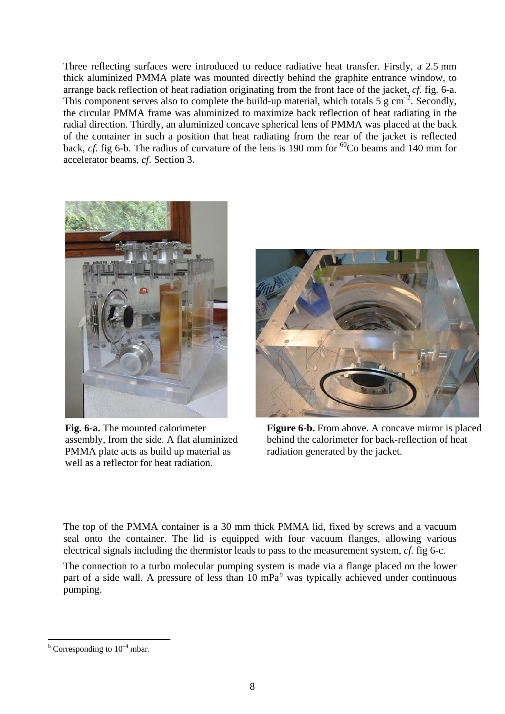Three reflecting surfaces were introduced to reduce radiative heat transfer. Firstly, a 2.5 mm thick aluminized PMMA plate was mounted directly behind the graphite entrance window, to arrange back reflection of heat radiation originating from the front face of the jacket, *cf.* fig. 6-a. This component serves also to complete the build-up material, which totals 5 g cm<sup>-2</sup>. Secondly, the circular PMMA frame was aluminized to maximize back reflection of heat radiating in the radial direction. Thirdly, an aluminized concave spherical lens of PMMA was placed at the back of the container in such a position that heat radiating from the rear of the jacket is reflected back, *cf.* fig 6-b. The radius of curvature of the lens is 190 mm for <sup>60</sup>Co beams and 140 mm for accelerator beams, *cf*. Section 3.



**Fig. 6-a.** The mounted calorimeter assembly, from the side. A flat aluminized PMMA plate acts as build up material as well as a reflector for heat radiation.



**Figure 6-b.** From above. A concave mirror is placed behind the calorimeter for back-reflection of heat radiation generated by the jacket.

The top of the PMMA container is a 30 mm thick PMMA lid, fixed by screws and a vacuum seal onto the container. The lid is equipped with four vacuum flanges, allowing various electrical signals including the thermistor leads to pass to the measurement system, *cf.* fig 6-c.

The connection to a turbo molecular pumping system is made via a flange placed on the lower part of a side wall. A pressure of less than  $10 \text{ mPa}^b$  $10 \text{ mPa}^b$  was typically achieved under continuous pumping.

<span id="page-8-0"></span> $\overline{a}$  $b$  Corresponding to  $10^{-4}$  mbar.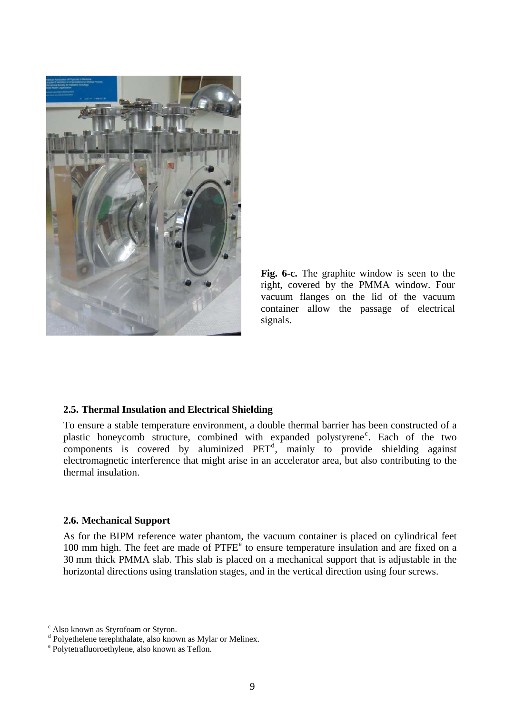

**Fig. 6-c.** The graphite window is seen to the right, covered by the PMMA window. Four vacuum flanges on the lid of the vacuum container allow the passage of electrical signals.

#### **2.5. Thermal Insulation and Electrical Shielding**

To ensure a stable temperature environment, a double thermal barrier has been constructed of a plasti[c](#page-9-0) honeycomb structure, combined with expanded polystyrene<sup>c</sup>. Each of the two components is covere[d](#page-9-1) by aluminized  $PET<sup>d</sup>$ , mainly to provide shielding against electromagnetic interference that might arise in an accelerator area, but also contributing to the thermal insulation.

#### **2.6. Mechanical Support**

As for the BIPM reference water phantom, the vacuum container is placed on cylindrical feet 100 mm high. Th[e](#page-9-2) feet are made of PTFE<sup>e</sup> to ensure temperature insulation and are fixed on a 30 mm thick PMMA slab. This slab is placed on a mechanical support that is adjustable in the horizontal directions using translation stages, and in the vertical direction using four screws.

 $\overline{a}$ 

<span id="page-9-0"></span>c Also known as Styrofoam or Styron.

 $\alpha^d$  Polyethelene terephthalate, also known as Mylar or Melinex.

<span id="page-9-2"></span><span id="page-9-1"></span>Polytetrafluoroethylene, also known as Teflon.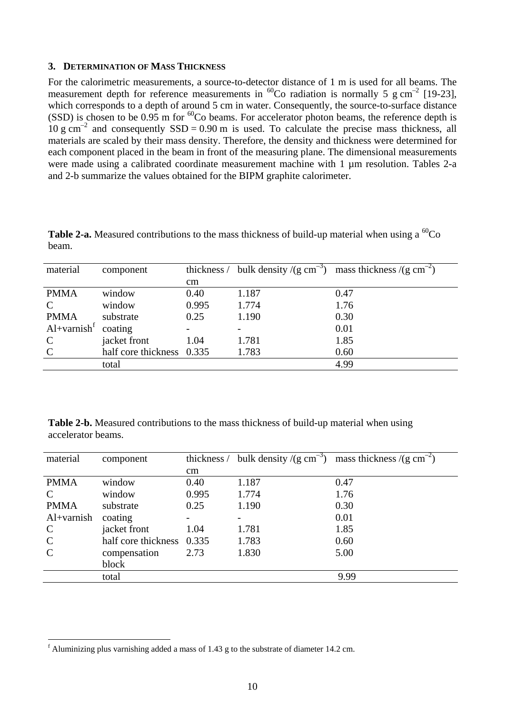#### **3. DETERMINATION OF MASS THICKNESS**

For the calorimetric measurements, a source-to-detector distance of 1 m is used for all beams. The measurement depth for reference measurements in <sup>60</sup>Co radiation is normally 5 g cm<sup>-2</sup> [19-23], which corresponds to a depth of around 5 cm in water. Consequently, the source-to-surface distance (SSD) is chosen to be  $0.95$  m for <sup>60</sup>Co beams. For accelerator photon beams, the reference depth is  $10 \text{ g cm}^{-2}$  and consequently SSD = 0.90 m is used. To calculate the precise mass thickness, all materials are scaled by their mass density. Therefore, the density and thickness were determined for each component placed in the beam in front of the measuring plane. The dimensional measurements were made using a calibrated coordinate measurement machine with 1  $\mu$ m resolution. Tables 2-a and 2-b summarize the values obtained for the BIPM graphite calorimeter.

| material                  | component                 | thickness / | bulk density $/(g \text{ cm}^{-3})$ | mass thickness /(g cm <sup>-2</sup> ) |
|---------------------------|---------------------------|-------------|-------------------------------------|---------------------------------------|
|                           |                           | cm          |                                     |                                       |
| <b>PMMA</b>               | window                    | 0.40        | 1.187                               | 0.47                                  |
| $\mathbf C$               | window                    | 0.995       | 1.774                               | 1.76                                  |
| <b>PMMA</b>               | substrate                 | 0.25        | 1.190                               | 0.30                                  |
| $Al+varnish$ <sup>f</sup> | coating                   |             |                                     | 0.01                                  |
| $\mathbf C$               | jacket front              | 1.04        | 1.781                               | 1.85                                  |
| $\mathcal{C}$             | half core thickness 0.335 |             | 1.783                               | 0.60                                  |

**Table 2-a.** Measured contributions to the mass thickness of build-up material when using a  ${}^{60}Co$ beam.

**Table 2-b.** Measured contributions to the mass thickness of build-up material when using accelerator beams.

total 4.99

| material      | component                 |          |       | thickness / bulk density /(g cm <sup>-3</sup> ) mass thickness /(g cm <sup>-2</sup> ) |
|---------------|---------------------------|----------|-------|---------------------------------------------------------------------------------------|
|               |                           | $\rm cm$ |       |                                                                                       |
| <b>PMMA</b>   | window                    | 0.40     | 1.187 | 0.47                                                                                  |
| $\mathbf C$   | window                    | 0.995    | 1.774 | 1.76                                                                                  |
| <b>PMMA</b>   | substrate                 | 0.25     | 1.190 | 0.30                                                                                  |
| $Al+varnish$  | coating                   |          |       | 0.01                                                                                  |
| $\mathcal{C}$ | jacket front              | 1.04     | 1.781 | 1.85                                                                                  |
| $\mathcal{C}$ | half core thickness 0.335 |          | 1.783 | 0.60                                                                                  |
| $\mathcal{C}$ | compensation              | 2.73     | 1.830 | 5.00                                                                                  |
|               | block                     |          |       |                                                                                       |
|               | total                     |          |       | 9.99                                                                                  |

 $\overline{a}$ 

<span id="page-10-0"></span> $f$  Aluminizing plus varnishing added a mass of 1.43 g to the substrate of diameter 14.2 cm.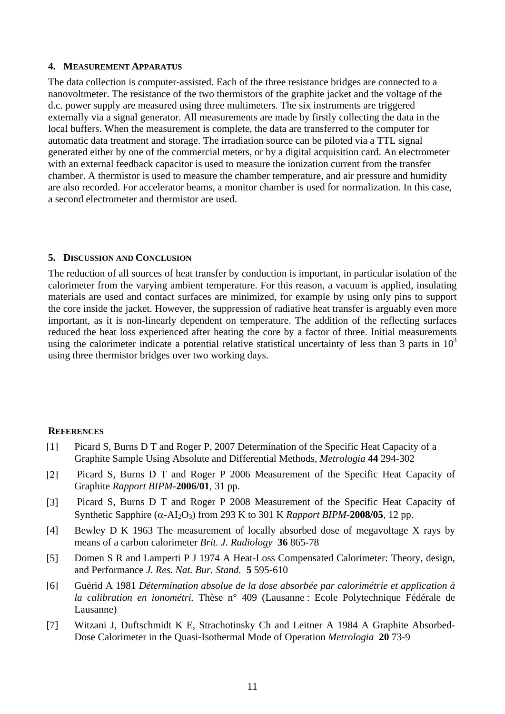#### **4. MEASUREMENT APPARATUS**

The data collection is computer-assisted. Each of the three resistance bridges are connected to a nanovoltmeter. The resistance of the two thermistors of the graphite jacket and the voltage of the d.c. power supply are measured using three multimeters. The six instruments are triggered externally via a signal generator. All measurements are made by firstly collecting the data in the local buffers. When the measurement is complete, the data are transferred to the computer for automatic data treatment and storage. The irradiation source can be piloted via a TTL signal generated either by one of the commercial meters, or by a digital acquisition card. An electrometer with an external feedback capacitor is used to measure the ionization current from the transfer chamber. A thermistor is used to measure the chamber temperature, and air pressure and humidity are also recorded. For accelerator beams, a monitor chamber is used for normalization. In this case, a second electrometer and thermistor are used.

## **5. DISCUSSION AND CONCLUSION**

The reduction of all sources of heat transfer by conduction is important, in particular isolation of the calorimeter from the varying ambient temperature. For this reason, a vacuum is applied, insulating materials are used and contact surfaces are minimized, for example by using only pins to support the core inside the jacket. However, the suppression of radiative heat transfer is arguably even more important, as it is non-linearly dependent on temperature. The addition of the reflecting surfaces reduced the heat loss experienced after heating the core by a factor of three. Initial measurements using the calorimeter indicate a potential relative statistical uncertainty of less than 3 parts in  $10<sup>3</sup>$ using three thermistor bridges over two working days.

## **REFERENCES**

- [1] Picard S, Burns D T and Roger P, 2007 Determination of the Specific Heat Capacity of a Graphite Sample Using Absolute and Differential Methods, *Metrologia* **44** 294-302
- [2] Picard S, Burns D T and Roger P 2006 Measurement of the Specific Heat Capacity of Graphite *Rapport BIPM-***2006/01**, 31 pp.
- [3] Picard S, Burns D T and Roger P 2008 Measurement of the Specific Heat Capacity of Synthetic Sapphire  $(\alpha - A I_2 O_3)$  from 293 K to 301 K *Rapport BIPM*-2008/05, 12 pp.
- [4] Bewley D K 1963 The measurement of locally absorbed dose of megavoltage X rays by means of a carbon calorimeter *Brit. J. Radiology* **36** 865-78
- [5] Domen S R and Lamperti P J 1974 A Heat-Loss Compensated Calorimeter: Theory, design, and Performance *J. Res. Nat. Bur. Stand.* **5** 595-610
- [6] Guérid A 1981 *Détermination absolue de la dose absorbée par calorimétrie et application à la calibration en ionométri.* Thèse n° 409 (Lausanne : Ecole Polytechnique Fédérale de Lausanne)
- [7] Witzani J, Duftschmidt K E, Strachotinsky Ch and Leitner A 1984 A Graphite Absorbed-Dose Calorimeter in the Quasi-Isothermal Mode of Operation *Metrologia* **20** 73-9